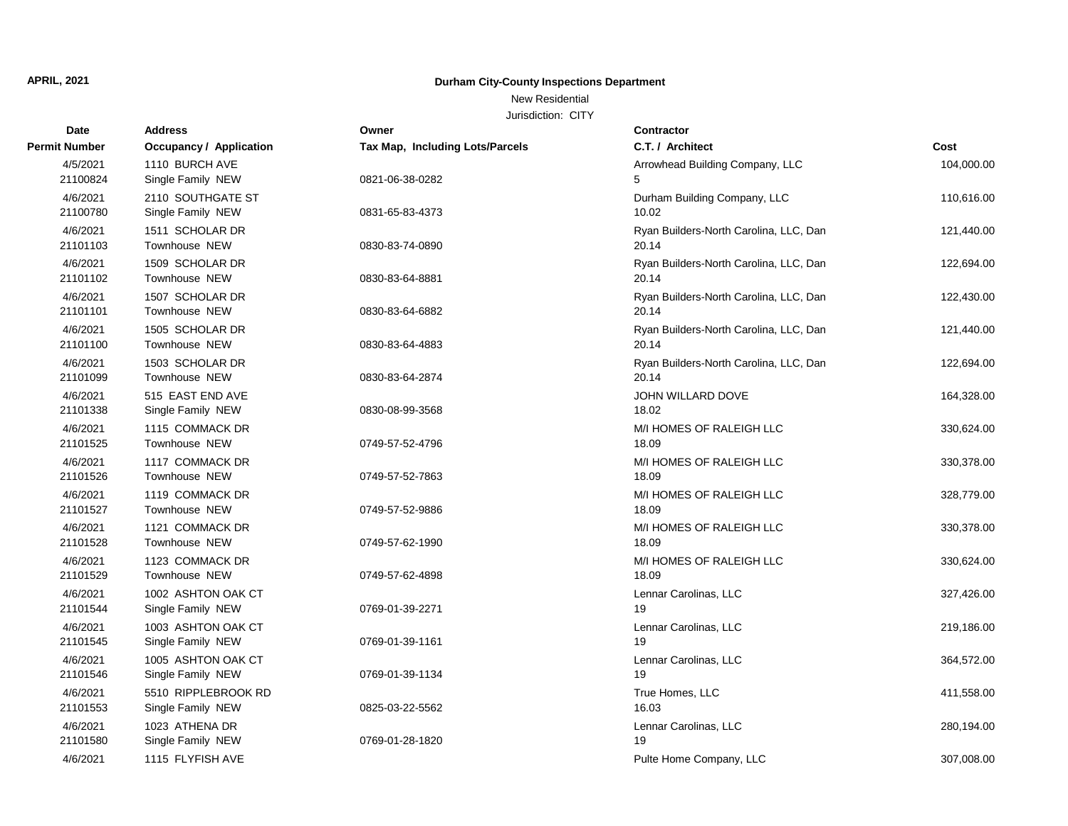New Residential

| Date                 | <b>Address</b>                           | Owner                           | <b>Contractor</b>                               |            |
|----------------------|------------------------------------------|---------------------------------|-------------------------------------------------|------------|
| <b>Permit Number</b> | Occupancy / Application                  | Tax Map, Including Lots/Parcels | C.T. / Architect                                | Cost       |
| 4/5/2021<br>21100824 | 1110 BURCH AVE<br>Single Family NEW      | 0821-06-38-0282                 | Arrowhead Building Company, LLC<br>5            | 104,000.00 |
| 4/6/2021<br>21100780 | 2110 SOUTHGATE ST<br>Single Family NEW   | 0831-65-83-4373                 | Durham Building Company, LLC<br>10.02           | 110,616.00 |
| 4/6/2021<br>21101103 | 1511 SCHOLAR DR<br>Townhouse NEW         | 0830-83-74-0890                 | Ryan Builders-North Carolina, LLC, Dan<br>20.14 | 121,440.00 |
| 4/6/2021<br>21101102 | 1509 SCHOLAR DR<br>Townhouse NEW         | 0830-83-64-8881                 | Ryan Builders-North Carolina, LLC, Dan<br>20.14 | 122,694.00 |
| 4/6/2021<br>21101101 | 1507 SCHOLAR DR<br>Townhouse NEW         | 0830-83-64-6882                 | Ryan Builders-North Carolina, LLC, Dan<br>20.14 | 122,430.00 |
| 4/6/2021<br>21101100 | 1505 SCHOLAR DR<br>Townhouse NEW         | 0830-83-64-4883                 | Ryan Builders-North Carolina, LLC, Dan<br>20.14 | 121,440.00 |
| 4/6/2021<br>21101099 | 1503 SCHOLAR DR<br>Townhouse NEW         | 0830-83-64-2874                 | Ryan Builders-North Carolina, LLC, Dan<br>20.14 | 122,694.00 |
| 4/6/2021<br>21101338 | 515 EAST END AVE<br>Single Family NEW    | 0830-08-99-3568                 | JOHN WILLARD DOVE<br>18.02                      | 164,328.00 |
| 4/6/2021<br>21101525 | 1115 COMMACK DR<br>Townhouse NEW         | 0749-57-52-4796                 | M/I HOMES OF RALEIGH LLC<br>18.09               | 330,624.00 |
| 4/6/2021<br>21101526 | 1117 COMMACK DR<br>Townhouse NEW         | 0749-57-52-7863                 | M/I HOMES OF RALEIGH LLC<br>18.09               | 330,378.00 |
| 4/6/2021<br>21101527 | 1119 COMMACK DR<br>Townhouse NEW         | 0749-57-52-9886                 | M/I HOMES OF RALEIGH LLC<br>18.09               | 328,779.00 |
| 4/6/2021<br>21101528 | 1121 COMMACK DR<br>Townhouse NEW         | 0749-57-62-1990                 | M/I HOMES OF RALEIGH LLC<br>18.09               | 330,378.00 |
| 4/6/2021<br>21101529 | 1123 COMMACK DR<br>Townhouse NEW         | 0749-57-62-4898                 | M/I HOMES OF RALEIGH LLC<br>18.09               | 330,624.00 |
| 4/6/2021<br>21101544 | 1002 ASHTON OAK CT<br>Single Family NEW  | 0769-01-39-2271                 | Lennar Carolinas, LLC<br>19                     | 327,426.00 |
| 4/6/2021<br>21101545 | 1003 ASHTON OAK CT<br>Single Family NEW  | 0769-01-39-1161                 | Lennar Carolinas, LLC<br>19                     | 219,186.00 |
| 4/6/2021<br>21101546 | 1005 ASHTON OAK CT<br>Single Family NEW  | 0769-01-39-1134                 | Lennar Carolinas, LLC<br>19                     | 364,572.00 |
| 4/6/2021<br>21101553 | 5510 RIPPLEBROOK RD<br>Single Family NEW | 0825-03-22-5562                 | True Homes, LLC<br>16.03                        | 411,558.00 |
| 4/6/2021<br>21101580 | 1023 ATHENA DR<br>Single Family NEW      | 0769-01-28-1820                 | Lennar Carolinas, LLC<br>19                     | 280,194.00 |
| 4/6/2021             | 1115 FLYFISH AVE                         |                                 | Pulte Home Company, LLC                         | 307,008.00 |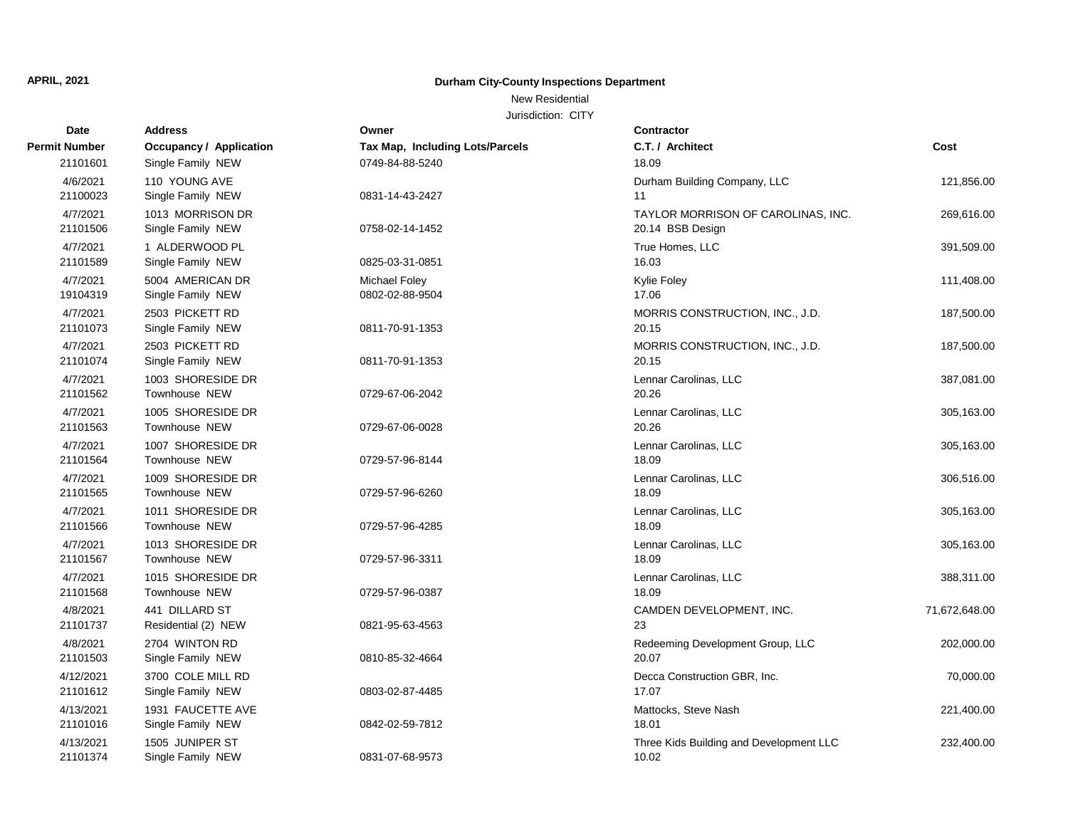#### New Residential

| Date                  | <b>Address</b>                            | Owner                                   | <b>Contractor</b>                                      |               |
|-----------------------|-------------------------------------------|-----------------------------------------|--------------------------------------------------------|---------------|
| <b>Permit Number</b>  | <b>Occupancy / Application</b>            | <b>Tax Map, Including Lots/Parcels</b>  | C.T. / Architect                                       | Cost          |
| 21101601              | Single Family NEW                         | 0749-84-88-5240                         | 18.09                                                  |               |
| 4/6/2021<br>21100023  | 110 YOUNG AVE<br>Single Family NEW        | 0831-14-43-2427                         | Durham Building Company, LLC<br>11                     | 121,856.00    |
| 4/7/2021<br>21101506  | 1013 MORRISON DR<br>Single Family NEW     | 0758-02-14-1452                         | TAYLOR MORRISON OF CAROLINAS, INC.<br>20.14 BSB Design | 269,616.00    |
| 4/7/2021<br>21101589  | 1 ALDERWOOD PL<br>Single Family NEW       | 0825-03-31-0851                         | True Homes, LLC<br>16.03                               | 391,509.00    |
| 4/7/2021<br>19104319  | 5004 AMERICAN DR<br>Single Family NEW     | <b>Michael Foley</b><br>0802-02-88-9504 | Kylie Foley<br>17.06                                   | 111,408.00    |
| 4/7/2021<br>21101073  | 2503 PICKETT RD<br>Single Family NEW      | 0811-70-91-1353                         | MORRIS CONSTRUCTION, INC., J.D.<br>20.15               | 187,500.00    |
| 4/7/2021<br>21101074  | 2503 PICKETT RD<br>Single Family NEW      | 0811-70-91-1353                         | MORRIS CONSTRUCTION, INC., J.D.<br>20.15               | 187,500.00    |
| 4/7/2021<br>21101562  | 1003 SHORESIDE DR<br>Townhouse NEW        | 0729-67-06-2042                         | Lennar Carolinas, LLC<br>20.26                         | 387,081.00    |
| 4/7/2021<br>21101563  | 1005 SHORESIDE DR<br>Townhouse NEW        | 0729-67-06-0028                         | Lennar Carolinas, LLC<br>20.26                         | 305,163.00    |
| 4/7/2021<br>21101564  | 1007 SHORESIDE DR<br>Townhouse NEW        | 0729-57-96-8144                         | Lennar Carolinas, LLC<br>18.09                         | 305,163.00    |
| 4/7/2021<br>21101565  | 1009 SHORESIDE DR<br><b>Townhouse NEW</b> | 0729-57-96-6260                         | Lennar Carolinas, LLC<br>18.09                         | 306,516.00    |
| 4/7/2021<br>21101566  | 1011 SHORESIDE DR<br><b>Townhouse NEW</b> | 0729-57-96-4285                         | Lennar Carolinas, LLC<br>18.09                         | 305,163.00    |
| 4/7/2021<br>21101567  | 1013 SHORESIDE DR<br><b>Townhouse NEW</b> | 0729-57-96-3311                         | Lennar Carolinas, LLC<br>18.09                         | 305,163.00    |
| 4/7/2021<br>21101568  | 1015 SHORESIDE DR<br>Townhouse NEW        | 0729-57-96-0387                         | Lennar Carolinas, LLC<br>18.09                         | 388,311.00    |
| 4/8/2021<br>21101737  | 441 DILLARD ST<br>Residential (2) NEW     | 0821-95-63-4563                         | CAMDEN DEVELOPMENT, INC.<br>23                         | 71,672,648.00 |
| 4/8/2021<br>21101503  | 2704 WINTON RD<br>Single Family NEW       | 0810-85-32-4664                         | Redeeming Development Group, LLC<br>20.07              | 202,000.00    |
| 4/12/2021<br>21101612 | 3700 COLE MILL RD<br>Single Family NEW    | 0803-02-87-4485                         | Decca Construction GBR, Inc.<br>17.07                  | 70,000.00     |
| 4/13/2021<br>21101016 | 1931 FAUCETTE AVE<br>Single Family NEW    | 0842-02-59-7812                         | Mattocks, Steve Nash<br>18.01                          | 221,400.00    |
| 4/13/2021<br>21101374 | 1505 JUNIPER ST<br>Single Family NEW      | 0831-07-68-9573                         | Three Kids Building and Development LLC<br>10.02       | 232,400.00    |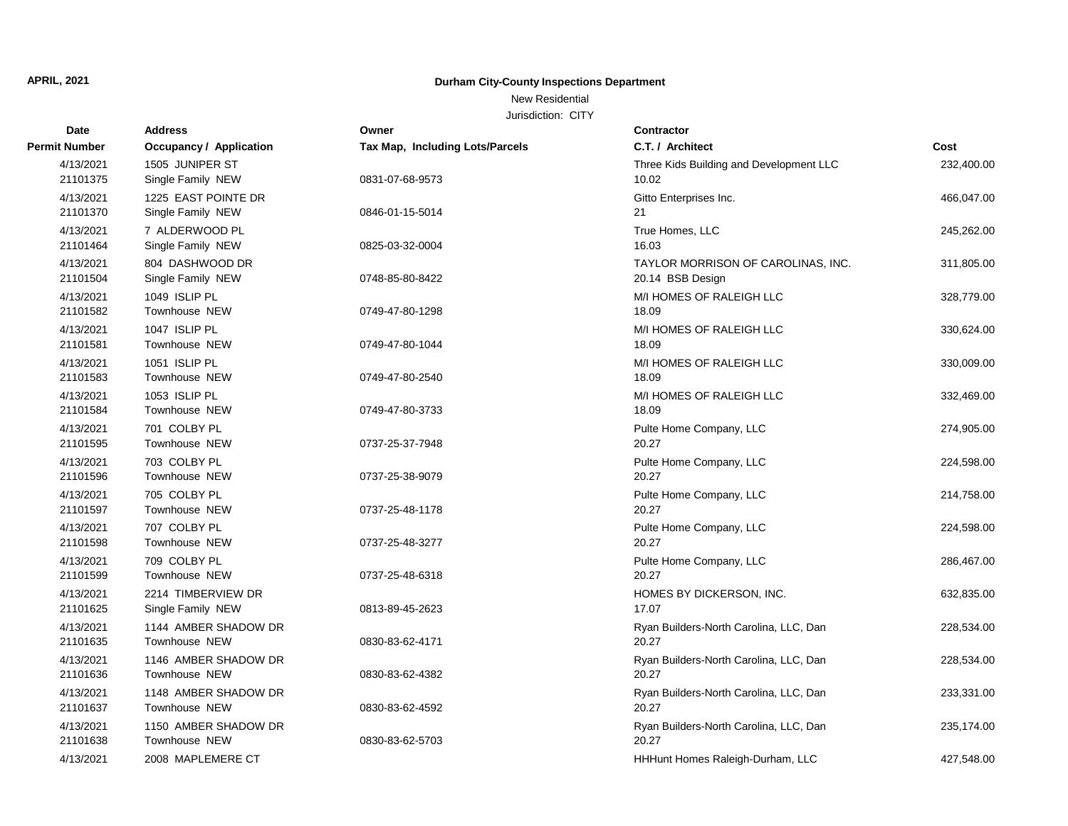New Residential

| Date                  | <b>Address</b>                           | Owner                                  | Contractor                                             |            |
|-----------------------|------------------------------------------|----------------------------------------|--------------------------------------------------------|------------|
| <b>Permit Number</b>  | <b>Occupancy / Application</b>           | <b>Tax Map, Including Lots/Parcels</b> | C.T. / Architect                                       | Cost       |
| 4/13/2021<br>21101375 | 1505 JUNIPER ST<br>Single Family NEW     | 0831-07-68-9573                        | Three Kids Building and Development LLC<br>10.02       | 232,400.00 |
| 4/13/2021<br>21101370 | 1225 EAST POINTE DR<br>Single Family NEW | 0846-01-15-5014                        | Gitto Enterprises Inc.<br>21                           | 466,047.00 |
| 4/13/2021<br>21101464 | 7 ALDERWOOD PL<br>Single Family NEW      | 0825-03-32-0004                        | True Homes, LLC<br>16.03                               | 245,262.00 |
| 4/13/2021<br>21101504 | 804 DASHWOOD DR<br>Single Family NEW     | 0748-85-80-8422                        | TAYLOR MORRISON OF CAROLINAS, INC.<br>20.14 BSB Design | 311,805.00 |
| 4/13/2021<br>21101582 | 1049 ISLIP PL<br>Townhouse NEW           | 0749-47-80-1298                        | M/I HOMES OF RALEIGH LLC<br>18.09                      | 328,779.00 |
| 4/13/2021<br>21101581 | 1047 ISLIP PL<br>Townhouse NEW           | 0749-47-80-1044                        | M/I HOMES OF RALEIGH LLC<br>18.09                      | 330,624.00 |
| 4/13/2021<br>21101583 | 1051 ISLIP PL<br>Townhouse NEW           | 0749-47-80-2540                        | M/I HOMES OF RALEIGH LLC<br>18.09                      | 330,009.00 |
| 4/13/2021<br>21101584 | 1053 ISLIP PL<br>Townhouse NEW           | 0749-47-80-3733                        | M/I HOMES OF RALEIGH LLC<br>18.09                      | 332,469.00 |
| 4/13/2021<br>21101595 | 701 COLBY PL<br>Townhouse NEW            | 0737-25-37-7948                        | Pulte Home Company, LLC<br>20.27                       | 274,905.00 |
| 4/13/2021<br>21101596 | 703 COLBY PL<br>Townhouse NEW            | 0737-25-38-9079                        | Pulte Home Company, LLC<br>20.27                       | 224,598.00 |
| 4/13/2021<br>21101597 | 705 COLBY PL<br>Townhouse NEW            | 0737-25-48-1178                        | Pulte Home Company, LLC<br>20.27                       | 214,758.00 |
| 4/13/2021<br>21101598 | 707 COLBY PL<br>Townhouse NEW            | 0737-25-48-3277                        | Pulte Home Company, LLC<br>20.27                       | 224,598.00 |
| 4/13/2021<br>21101599 | 709 COLBY PL<br>Townhouse NEW            | 0737-25-48-6318                        | Pulte Home Company, LLC<br>20.27                       | 286,467.00 |
| 4/13/2021<br>21101625 | 2214 TIMBERVIEW DR<br>Single Family NEW  | 0813-89-45-2623                        | HOMES BY DICKERSON, INC.<br>17.07                      | 632,835.00 |
| 4/13/2021<br>21101635 | 1144 AMBER SHADOW DR<br>Townhouse NEW    | 0830-83-62-4171                        | Ryan Builders-North Carolina, LLC, Dan<br>20.27        | 228,534.00 |
| 4/13/2021<br>21101636 | 1146 AMBER SHADOW DR<br>Townhouse NEW    | 0830-83-62-4382                        | Ryan Builders-North Carolina, LLC, Dan<br>20.27        | 228,534.00 |
| 4/13/2021<br>21101637 | 1148 AMBER SHADOW DR<br>Townhouse NEW    | 0830-83-62-4592                        | Ryan Builders-North Carolina, LLC, Dan<br>20.27        | 233,331.00 |
| 4/13/2021<br>21101638 | 1150 AMBER SHADOW DR<br>Townhouse NEW    | 0830-83-62-5703                        | Ryan Builders-North Carolina, LLC, Dan<br>20.27        | 235,174.00 |
| 4/13/2021             | 2008 MAPLEMERE CT                        |                                        | HHHunt Homes Raleigh-Durham, LLC                       | 427,548.00 |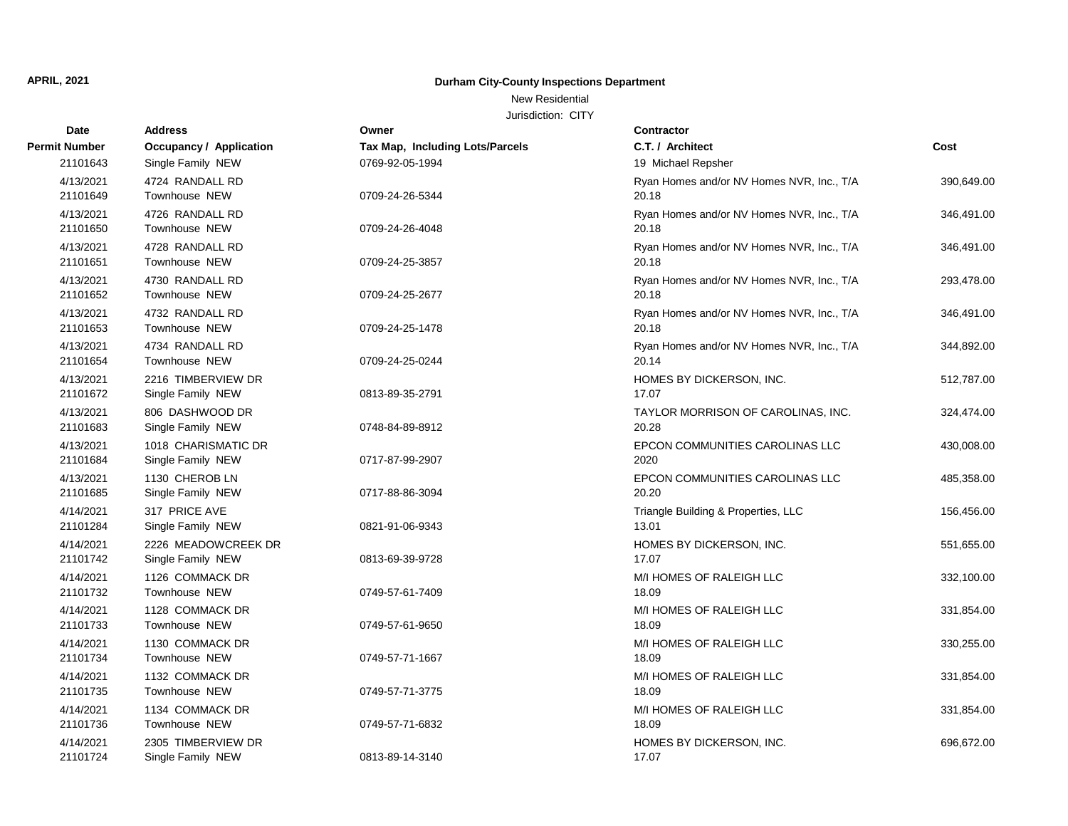#### New Residential

| Date                  | <b>Address</b>                           | Owner                           | <b>Contractor</b>                                  |            |
|-----------------------|------------------------------------------|---------------------------------|----------------------------------------------------|------------|
| <b>Permit Number</b>  | <b>Occupancy / Application</b>           | Tax Map, Including Lots/Parcels | C.T. / Architect                                   | Cost       |
| 21101643              | Single Family NEW                        | 0769-92-05-1994                 | 19 Michael Repsher                                 |            |
| 4/13/2021<br>21101649 | 4724 RANDALL RD<br><b>Townhouse NEW</b>  | 0709-24-26-5344                 | Ryan Homes and/or NV Homes NVR, Inc., T/A<br>20.18 | 390,649.00 |
| 4/13/2021<br>21101650 | 4726 RANDALL RD<br>Townhouse NEW         | 0709-24-26-4048                 | Ryan Homes and/or NV Homes NVR, Inc., T/A<br>20.18 | 346,491.00 |
| 4/13/2021<br>21101651 | 4728 RANDALL RD<br>Townhouse NEW         | 0709-24-25-3857                 | Ryan Homes and/or NV Homes NVR, Inc., T/A<br>20.18 | 346,491.00 |
| 4/13/2021<br>21101652 | 4730 RANDALL RD<br>Townhouse NEW         | 0709-24-25-2677                 | Ryan Homes and/or NV Homes NVR, Inc., T/A<br>20.18 | 293,478.00 |
| 4/13/2021<br>21101653 | 4732 RANDALL RD<br>Townhouse NEW         | 0709-24-25-1478                 | Ryan Homes and/or NV Homes NVR, Inc., T/A<br>20.18 | 346,491.00 |
| 4/13/2021<br>21101654 | 4734 RANDALL RD<br>Townhouse NEW         | 0709-24-25-0244                 | Ryan Homes and/or NV Homes NVR, Inc., T/A<br>20.14 | 344,892.00 |
| 4/13/2021<br>21101672 | 2216 TIMBERVIEW DR<br>Single Family NEW  | 0813-89-35-2791                 | HOMES BY DICKERSON, INC.<br>17.07                  | 512,787.00 |
| 4/13/2021<br>21101683 | 806 DASHWOOD DR<br>Single Family NEW     | 0748-84-89-8912                 | TAYLOR MORRISON OF CAROLINAS, INC.<br>20.28        | 324,474.00 |
| 4/13/2021<br>21101684 | 1018 CHARISMATIC DR<br>Single Family NEW | 0717-87-99-2907                 | EPCON COMMUNITIES CAROLINAS LLC<br>2020            | 430,008.00 |
| 4/13/2021<br>21101685 | 1130 CHEROB LN<br>Single Family NEW      | 0717-88-86-3094                 | EPCON COMMUNITIES CAROLINAS LLC<br>20.20           | 485,358.00 |
| 4/14/2021<br>21101284 | 317 PRICE AVE<br>Single Family NEW       | 0821-91-06-9343                 | Triangle Building & Properties, LLC<br>13.01       | 156,456.00 |
| 4/14/2021<br>21101742 | 2226 MEADOWCREEK DR<br>Single Family NEW | 0813-69-39-9728                 | HOMES BY DICKERSON, INC.<br>17.07                  | 551,655.00 |
| 4/14/2021<br>21101732 | 1126 COMMACK DR<br>Townhouse NEW         | 0749-57-61-7409                 | M/I HOMES OF RALEIGH LLC<br>18.09                  | 332,100.00 |
| 4/14/2021<br>21101733 | 1128 COMMACK DR<br>Townhouse NEW         | 0749-57-61-9650                 | M/I HOMES OF RALEIGH LLC<br>18.09                  | 331,854.00 |
| 4/14/2021<br>21101734 | 1130 COMMACK DR<br>Townhouse NEW         | 0749-57-71-1667                 | M/I HOMES OF RALEIGH LLC<br>18.09                  | 330,255.00 |
| 4/14/2021<br>21101735 | 1132 COMMACK DR<br>Townhouse NEW         | 0749-57-71-3775                 | M/I HOMES OF RALEIGH LLC<br>18.09                  | 331,854.00 |
| 4/14/2021<br>21101736 | 1134 COMMACK DR<br>Townhouse NEW         | 0749-57-71-6832                 | M/I HOMES OF RALEIGH LLC<br>18.09                  | 331,854.00 |
| 4/14/2021<br>21101724 | 2305 TIMBERVIEW DR<br>Single Family NEW  | 0813-89-14-3140                 | HOMES BY DICKERSON, INC.<br>17.07                  | 696,672.00 |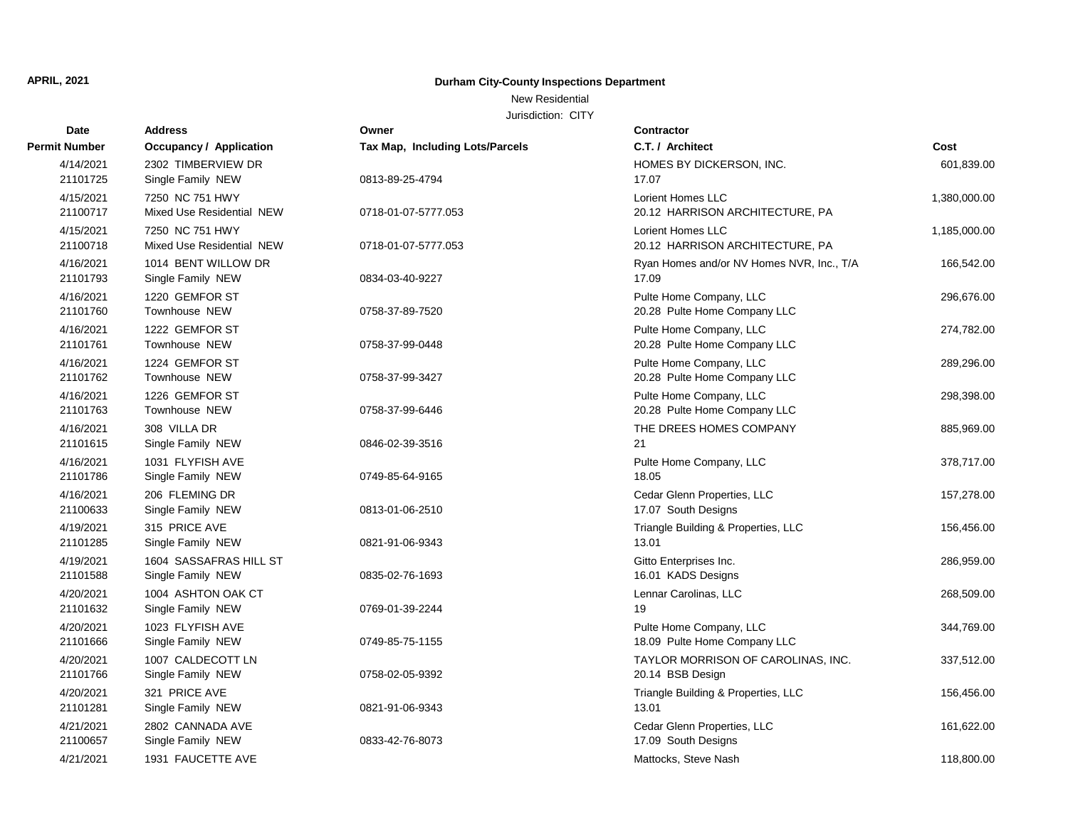#### New Residential

| Date                  | <b>Address</b>                      | Owner                           | Contractor                                         |              |
|-----------------------|-------------------------------------|---------------------------------|----------------------------------------------------|--------------|
| <b>Permit Number</b>  | <b>Occupancy / Application</b>      | Tax Map, Including Lots/Parcels | C.T. / Architect                                   | Cost         |
| 4/14/2021             | 2302 TIMBERVIEW DR                  |                                 | HOMES BY DICKERSON, INC.                           | 601,839.00   |
| 21101725              | Single Family NEW                   | 0813-89-25-4794                 | 17.07                                              |              |
| 4/15/2021             | 7250 NC 751 HWY                     |                                 | Lorient Homes LLC                                  | 1,380,000.00 |
| 21100717              | Mixed Use Residential NEW           | 0718-01-07-5777.053             | 20.12 HARRISON ARCHITECTURE, PA                    |              |
| 4/15/2021             | 7250 NC 751 HWY                     |                                 | Lorient Homes LLC                                  | 1,185,000.00 |
| 21100718              | Mixed Use Residential NEW           | 0718-01-07-5777.053             | 20.12 HARRISON ARCHITECTURE, PA                    |              |
| 4/16/2021             | 1014 BENT WILLOW DR                 |                                 | Ryan Homes and/or NV Homes NVR, Inc., T/A          | 166,542.00   |
| 21101793              | Single Family NEW                   | 0834-03-40-9227                 | 17.09                                              |              |
| 4/16/2021             | 1220 GEMFOR ST                      |                                 | Pulte Home Company, LLC                            | 296,676.00   |
| 21101760              | Townhouse NEW                       | 0758-37-89-7520                 | 20.28 Pulte Home Company LLC                       |              |
| 4/16/2021             | 1222 GEMFOR ST                      |                                 | Pulte Home Company, LLC                            | 274,782.00   |
| 21101761              | Townhouse NEW                       | 0758-37-99-0448                 | 20.28 Pulte Home Company LLC                       |              |
| 4/16/2021             | 1224 GEMFOR ST                      |                                 | Pulte Home Company, LLC                            | 289,296.00   |
| 21101762              | Townhouse NEW                       | 0758-37-99-3427                 | 20.28 Pulte Home Company LLC                       |              |
| 4/16/2021             | 1226 GEMFOR ST                      |                                 | Pulte Home Company, LLC                            | 298,398.00   |
| 21101763              | Townhouse NEW                       | 0758-37-99-6446                 | 20.28 Pulte Home Company LLC                       |              |
| 4/16/2021             | 308 VILLA DR                        |                                 | THE DREES HOMES COMPANY                            | 885,969.00   |
| 21101615              | Single Family NEW                   | 0846-02-39-3516                 | 21                                                 |              |
| 4/16/2021             | 1031 FLYFISH AVE                    |                                 | Pulte Home Company, LLC<br>18.05                   | 378,717.00   |
| 21101786              | Single Family NEW                   | 0749-85-64-9165                 |                                                    |              |
| 4/16/2021<br>21100633 | 206 FLEMING DR<br>Single Family NEW | 0813-01-06-2510                 | Cedar Glenn Properties, LLC<br>17.07 South Designs | 157,278.00   |
|                       |                                     |                                 |                                                    |              |
| 4/19/2021<br>21101285 | 315 PRICE AVE<br>Single Family NEW  | 0821-91-06-9343                 | Triangle Building & Properties, LLC<br>13.01       | 156,456.00   |
|                       | 1604 SASSAFRAS HILL ST              |                                 |                                                    |              |
| 4/19/2021<br>21101588 | Single Family NEW                   | 0835-02-76-1693                 | Gitto Enterprises Inc.<br>16.01 KADS Designs       | 286,959.00   |
| 4/20/2021             | 1004 ASHTON OAK CT                  |                                 | Lennar Carolinas, LLC                              | 268,509.00   |
| 21101632              | Single Family NEW                   | 0769-01-39-2244                 | 19                                                 |              |
| 4/20/2021             | 1023 FLYFISH AVE                    |                                 | Pulte Home Company, LLC                            | 344,769.00   |
| 21101666              | Single Family NEW                   | 0749-85-75-1155                 | 18.09 Pulte Home Company LLC                       |              |
| 4/20/2021             | 1007 CALDECOTT LN                   |                                 | TAYLOR MORRISON OF CAROLINAS, INC.                 | 337,512.00   |
| 21101766              | Single Family NEW                   | 0758-02-05-9392                 | 20.14 BSB Design                                   |              |
| 4/20/2021             | 321 PRICE AVE                       |                                 | Triangle Building & Properties, LLC                | 156,456.00   |
| 21101281              | Single Family NEW                   | 0821-91-06-9343                 | 13.01                                              |              |
| 4/21/2021             | 2802 CANNADA AVE                    |                                 | Cedar Glenn Properties, LLC                        | 161,622.00   |
| 21100657              | Single Family NEW                   | 0833-42-76-8073                 | 17.09 South Designs                                |              |
| 4/21/2021             | 1931 FAUCETTE AVE                   |                                 | Mattocks, Steve Nash                               | 118,800.00   |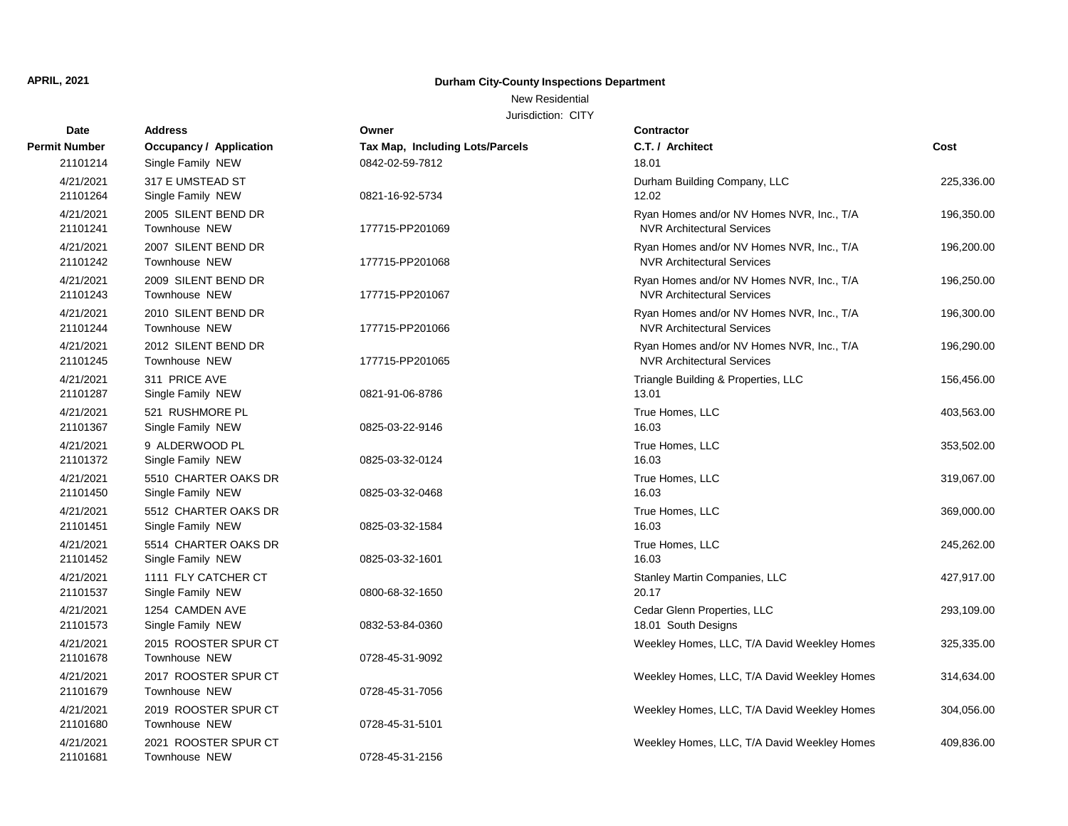#### New Residential

| Date                  | <b>Address</b>                            | Owner                           | <b>Contractor</b>                                                              |            |
|-----------------------|-------------------------------------------|---------------------------------|--------------------------------------------------------------------------------|------------|
| <b>Permit Number</b>  | <b>Occupancy / Application</b>            | Tax Map, Including Lots/Parcels | C.T. / Architect                                                               | Cost       |
| 21101214              | Single Family NEW                         | 0842-02-59-7812                 | 18.01                                                                          |            |
| 4/21/2021<br>21101264 | 317 E UMSTEAD ST<br>Single Family NEW     | 0821-16-92-5734                 | Durham Building Company, LLC<br>12.02                                          | 225,336.00 |
| 4/21/2021<br>21101241 | 2005 SILENT BEND DR<br>Townhouse NEW      | 177715-PP201069                 | Ryan Homes and/or NV Homes NVR, Inc., T/A<br><b>NVR Architectural Services</b> | 196,350.00 |
| 4/21/2021<br>21101242 | 2007 SILENT BEND DR<br>Townhouse NEW      | 177715-PP201068                 | Ryan Homes and/or NV Homes NVR, Inc., T/A<br><b>NVR Architectural Services</b> | 196,200.00 |
| 4/21/2021<br>21101243 | 2009 SILENT BEND DR<br>Townhouse NEW      | 177715-PP201067                 | Ryan Homes and/or NV Homes NVR, Inc., T/A<br><b>NVR Architectural Services</b> | 196,250.00 |
| 4/21/2021<br>21101244 | 2010 SILENT BEND DR<br>Townhouse NEW      | 177715-PP201066                 | Ryan Homes and/or NV Homes NVR, Inc., T/A<br><b>NVR Architectural Services</b> | 196,300.00 |
| 4/21/2021<br>21101245 | 2012 SILENT BEND DR<br>Townhouse NEW      | 177715-PP201065                 | Ryan Homes and/or NV Homes NVR, Inc., T/A<br><b>NVR Architectural Services</b> | 196,290.00 |
| 4/21/2021<br>21101287 | 311 PRICE AVE<br>Single Family NEW        | 0821-91-06-8786                 | Triangle Building & Properties, LLC<br>13.01                                   | 156,456.00 |
| 4/21/2021<br>21101367 | 521 RUSHMORE PL<br>Single Family NEW      | 0825-03-22-9146                 | True Homes, LLC<br>16.03                                                       | 403,563.00 |
| 4/21/2021<br>21101372 | 9 ALDERWOOD PL<br>Single Family NEW       | 0825-03-32-0124                 | True Homes, LLC<br>16.03                                                       | 353,502.00 |
| 4/21/2021<br>21101450 | 5510 CHARTER OAKS DR<br>Single Family NEW | 0825-03-32-0468                 | True Homes, LLC<br>16.03                                                       | 319,067.00 |
| 4/21/2021<br>21101451 | 5512 CHARTER OAKS DR<br>Single Family NEW | 0825-03-32-1584                 | True Homes, LLC<br>16.03                                                       | 369,000.00 |
| 4/21/2021<br>21101452 | 5514 CHARTER OAKS DR<br>Single Family NEW | 0825-03-32-1601                 | True Homes, LLC<br>16.03                                                       | 245,262.00 |
| 4/21/2021<br>21101537 | 1111 FLY CATCHER CT<br>Single Family NEW  | 0800-68-32-1650                 | Stanley Martin Companies, LLC<br>20.17                                         | 427,917.00 |
| 4/21/2021<br>21101573 | 1254 CAMDEN AVE<br>Single Family NEW      | 0832-53-84-0360                 | Cedar Glenn Properties, LLC<br>18.01 South Designs                             | 293,109.00 |
| 4/21/2021<br>21101678 | 2015 ROOSTER SPUR CT<br>Townhouse NEW     | 0728-45-31-9092                 | Weekley Homes, LLC, T/A David Weekley Homes                                    | 325,335.00 |
| 4/21/2021<br>21101679 | 2017 ROOSTER SPUR CT<br>Townhouse NEW     | 0728-45-31-7056                 | Weekley Homes, LLC, T/A David Weekley Homes                                    | 314,634.00 |
| 4/21/2021<br>21101680 | 2019 ROOSTER SPUR CT<br>Townhouse NEW     | 0728-45-31-5101                 | Weekley Homes, LLC, T/A David Weekley Homes                                    | 304,056.00 |
| 4/21/2021<br>21101681 | 2021 ROOSTER SPUR CT<br>Townhouse NEW     | 0728-45-31-2156                 | Weekley Homes, LLC, T/A David Weekley Homes                                    | 409,836.00 |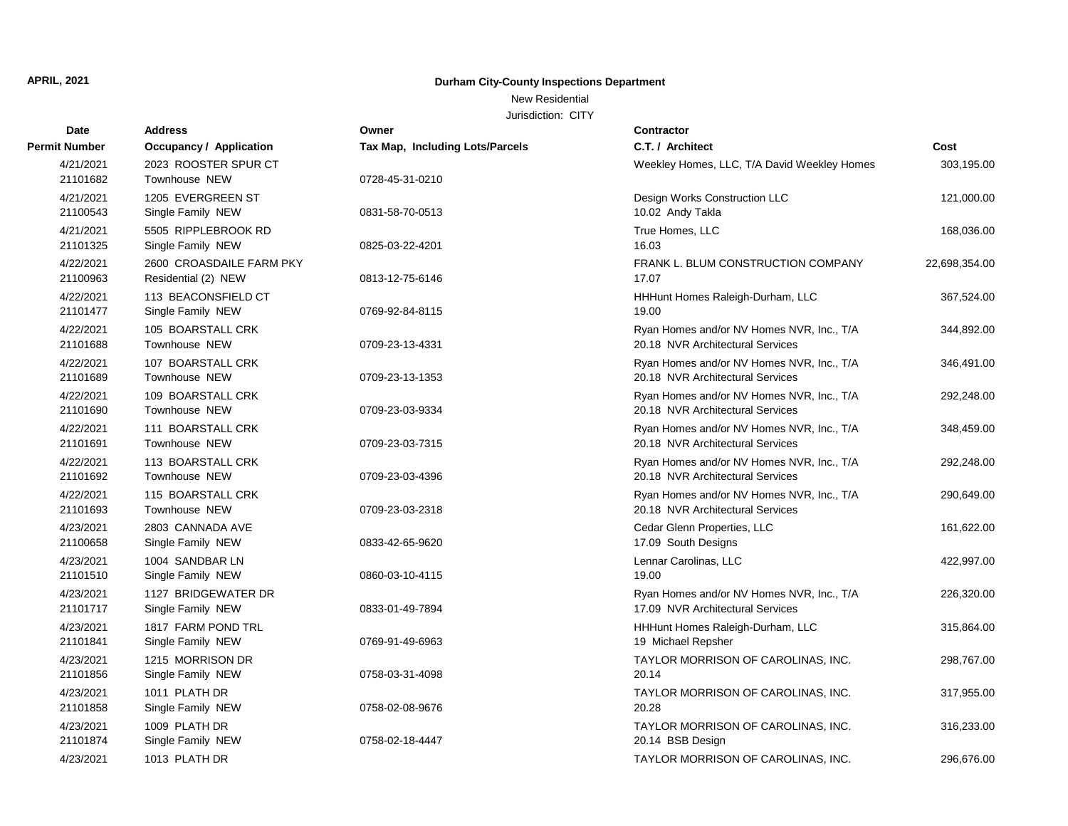New Residential

| <b>Date</b>           | <b>Address</b>                                  | Owner                                  | <b>Contractor</b>                                                             |               |
|-----------------------|-------------------------------------------------|----------------------------------------|-------------------------------------------------------------------------------|---------------|
| <b>Permit Number</b>  | <b>Occupancy / Application</b>                  | <b>Tax Map, Including Lots/Parcels</b> | C.T. / Architect                                                              | Cost          |
| 4/21/2021<br>21101682 | 2023 ROOSTER SPUR CT<br>Townhouse NEW           | 0728-45-31-0210                        | Weekley Homes, LLC, T/A David Weekley Homes                                   | 303,195.00    |
| 4/21/2021<br>21100543 | 1205 EVERGREEN ST<br>Single Family NEW          | 0831-58-70-0513                        | Design Works Construction LLC<br>10.02 Andy Takla                             | 121,000.00    |
| 4/21/2021<br>21101325 | 5505 RIPPLEBROOK RD<br>Single Family NEW        | 0825-03-22-4201                        | True Homes, LLC<br>16.03                                                      | 168,036.00    |
| 4/22/2021<br>21100963 | 2600 CROASDAILE FARM PKY<br>Residential (2) NEW | 0813-12-75-6146                        | FRANK L. BLUM CONSTRUCTION COMPANY<br>17.07                                   | 22,698,354.00 |
| 4/22/2021<br>21101477 | 113 BEACONSFIELD CT<br>Single Family NEW        | 0769-92-84-8115                        | HHHunt Homes Raleigh-Durham, LLC<br>19.00                                     | 367,524.00    |
| 4/22/2021<br>21101688 | 105 BOARSTALL CRK<br><b>Townhouse NEW</b>       | 0709-23-13-4331                        | Ryan Homes and/or NV Homes NVR, Inc., T/A<br>20.18 NVR Architectural Services | 344,892.00    |
| 4/22/2021<br>21101689 | 107 BOARSTALL CRK<br>Townhouse NEW              | 0709-23-13-1353                        | Ryan Homes and/or NV Homes NVR, Inc., T/A<br>20.18 NVR Architectural Services | 346,491.00    |
| 4/22/2021<br>21101690 | 109 BOARSTALL CRK<br>Townhouse NEW              | 0709-23-03-9334                        | Ryan Homes and/or NV Homes NVR, Inc., T/A<br>20.18 NVR Architectural Services | 292,248.00    |
| 4/22/2021<br>21101691 | 111 BOARSTALL CRK<br><b>Townhouse NEW</b>       | 0709-23-03-7315                        | Ryan Homes and/or NV Homes NVR, Inc., T/A<br>20.18 NVR Architectural Services | 348,459.00    |
| 4/22/2021<br>21101692 | 113 BOARSTALL CRK<br>Townhouse NEW              | 0709-23-03-4396                        | Ryan Homes and/or NV Homes NVR, Inc., T/A<br>20.18 NVR Architectural Services | 292,248.00    |
| 4/22/2021<br>21101693 | 115 BOARSTALL CRK<br><b>Townhouse NEW</b>       | 0709-23-03-2318                        | Ryan Homes and/or NV Homes NVR, Inc., T/A<br>20.18 NVR Architectural Services | 290,649.00    |
| 4/23/2021<br>21100658 | 2803 CANNADA AVE<br>Single Family NEW           | 0833-42-65-9620                        | Cedar Glenn Properties, LLC<br>17.09 South Designs                            | 161,622.00    |
| 4/23/2021<br>21101510 | 1004 SANDBAR LN<br>Single Family NEW            | 0860-03-10-4115                        | Lennar Carolinas, LLC<br>19.00                                                | 422,997.00    |
| 4/23/2021<br>21101717 | 1127 BRIDGEWATER DR<br>Single Family NEW        | 0833-01-49-7894                        | Ryan Homes and/or NV Homes NVR, Inc., T/A<br>17.09 NVR Architectural Services | 226,320.00    |
| 4/23/2021<br>21101841 | 1817 FARM POND TRL<br>Single Family NEW         | 0769-91-49-6963                        | HHHunt Homes Raleigh-Durham, LLC<br>19 Michael Repsher                        | 315,864.00    |
| 4/23/2021<br>21101856 | 1215 MORRISON DR<br>Single Family NEW           | 0758-03-31-4098                        | TAYLOR MORRISON OF CAROLINAS, INC.<br>20.14                                   | 298,767.00    |
| 4/23/2021<br>21101858 | 1011 PLATH DR<br>Single Family NEW              | 0758-02-08-9676                        | TAYLOR MORRISON OF CAROLINAS, INC.<br>20.28                                   | 317,955.00    |
| 4/23/2021<br>21101874 | 1009 PLATH DR<br>Single Family NEW              | 0758-02-18-4447                        | TAYLOR MORRISON OF CAROLINAS, INC.<br>20.14 BSB Design                        | 316,233.00    |
| 4/23/2021             | 1013 PLATH DR                                   |                                        | TAYLOR MORRISON OF CAROLINAS, INC.                                            | 296,676.00    |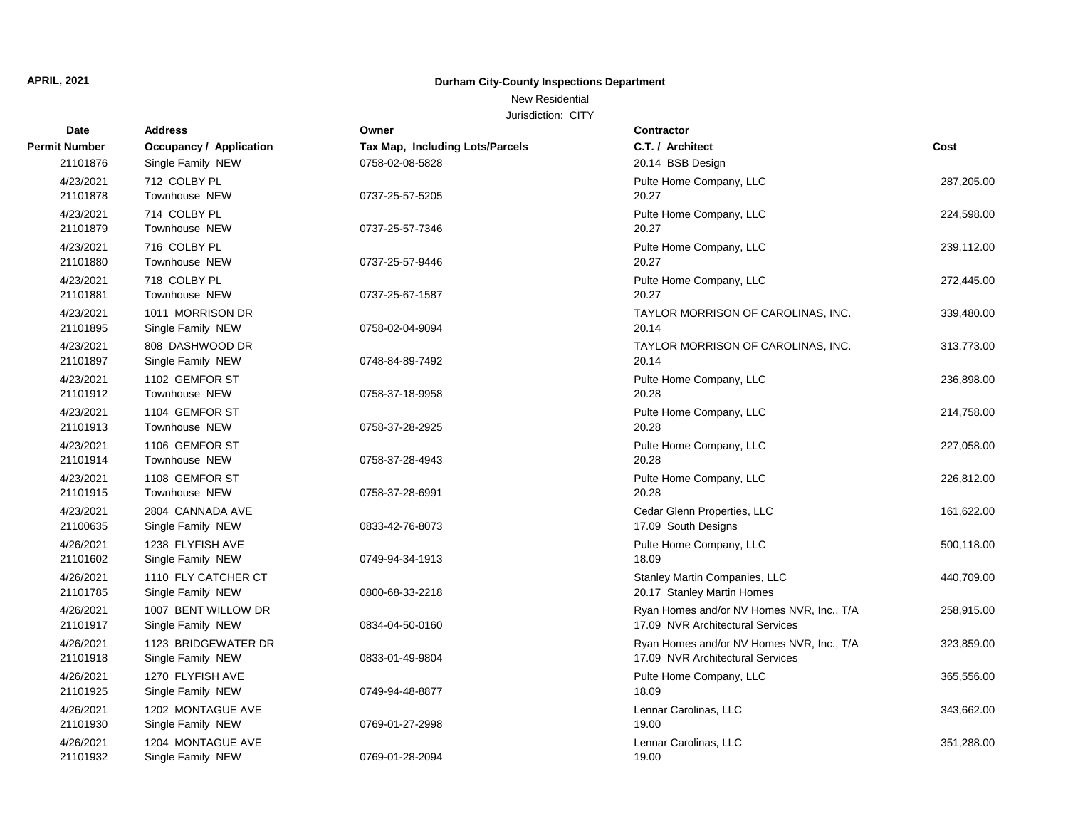#### New Residential

| <b>Date</b>           | <b>Address</b>                           | Owner                           | <b>Contractor</b>                                           |            |
|-----------------------|------------------------------------------|---------------------------------|-------------------------------------------------------------|------------|
| <b>Permit Number</b>  | <b>Occupancy / Application</b>           | Tax Map, Including Lots/Parcels | C.T. / Architect                                            | Cost       |
| 21101876              | Single Family NEW                        | 0758-02-08-5828                 | 20.14 BSB Design                                            |            |
| 4/23/2021             | 712 COLBY PL                             |                                 | Pulte Home Company, LLC                                     | 287,205.00 |
| 21101878              | Townhouse NEW                            | 0737-25-57-5205                 | 20.27                                                       |            |
| 4/23/2021             | 714 COLBY PL                             |                                 | Pulte Home Company, LLC                                     | 224,598.00 |
| 21101879              | Townhouse NEW                            | 0737-25-57-7346                 | 20.27                                                       |            |
| 4/23/2021             | 716 COLBY PL                             |                                 | Pulte Home Company, LLC                                     | 239,112.00 |
| 21101880              | Townhouse NEW                            | 0737-25-57-9446                 | 20.27                                                       |            |
| 4/23/2021             | 718 COLBY PL                             |                                 | Pulte Home Company, LLC                                     | 272,445.00 |
| 21101881              | Townhouse NEW                            | 0737-25-67-1587                 | 20.27                                                       |            |
| 4/23/2021             | 1011 MORRISON DR                         |                                 | TAYLOR MORRISON OF CAROLINAS, INC.                          | 339,480.00 |
| 21101895              | Single Family NEW                        | 0758-02-04-9094                 | 20.14                                                       |            |
| 4/23/2021             | 808 DASHWOOD DR                          |                                 | TAYLOR MORRISON OF CAROLINAS, INC.                          | 313,773.00 |
| 21101897              | Single Family NEW                        | 0748-84-89-7492                 | 20.14                                                       |            |
| 4/23/2021             | 1102 GEMFOR ST                           |                                 | Pulte Home Company, LLC                                     | 236,898.00 |
| 21101912              | Townhouse NEW                            | 0758-37-18-9958                 | 20.28                                                       |            |
| 4/23/2021             | 1104 GEMFOR ST                           |                                 | Pulte Home Company, LLC                                     | 214,758.00 |
| 21101913              | Townhouse NEW                            | 0758-37-28-2925                 | 20.28                                                       |            |
| 4/23/2021             | 1106 GEMFOR ST                           |                                 | Pulte Home Company, LLC                                     | 227,058.00 |
| 21101914              | Townhouse NEW                            | 0758-37-28-4943                 | 20.28                                                       |            |
| 4/23/2021             | 1108 GEMFOR ST                           |                                 | Pulte Home Company, LLC<br>20.28                            | 226,812.00 |
| 21101915              | Townhouse NEW                            | 0758-37-28-6991                 |                                                             |            |
| 4/23/2021<br>21100635 | 2804 CANNADA AVE<br>Single Family NEW    | 0833-42-76-8073                 | Cedar Glenn Properties, LLC<br>17.09 South Designs          | 161,622.00 |
|                       |                                          |                                 |                                                             |            |
| 4/26/2021<br>21101602 | 1238 FLYFISH AVE<br>Single Family NEW    | 0749-94-34-1913                 | Pulte Home Company, LLC<br>18.09                            | 500,118.00 |
|                       |                                          |                                 |                                                             |            |
| 4/26/2021<br>21101785 | 1110 FLY CATCHER CT<br>Single Family NEW | 0800-68-33-2218                 | Stanley Martin Companies, LLC<br>20.17 Stanley Martin Homes | 440,709.00 |
| 4/26/2021             | 1007 BENT WILLOW DR                      |                                 | Ryan Homes and/or NV Homes NVR, Inc., T/A                   | 258,915.00 |
| 21101917              | Single Family NEW                        | 0834-04-50-0160                 | 17.09 NVR Architectural Services                            |            |
| 4/26/2021             | 1123 BRIDGEWATER DR                      |                                 | Ryan Homes and/or NV Homes NVR, Inc., T/A                   | 323,859.00 |
| 21101918              | Single Family NEW                        | 0833-01-49-9804                 | 17.09 NVR Architectural Services                            |            |
| 4/26/2021             | 1270 FLYFISH AVE                         |                                 | Pulte Home Company, LLC                                     | 365,556.00 |
| 21101925              | Single Family NEW                        | 0749-94-48-8877                 | 18.09                                                       |            |
| 4/26/2021             | 1202 MONTAGUE AVE                        |                                 | Lennar Carolinas, LLC                                       | 343,662.00 |
| 21101930              | Single Family NEW                        | 0769-01-27-2998                 | 19.00                                                       |            |
| 4/26/2021             | 1204 MONTAGUE AVE                        |                                 | Lennar Carolinas, LLC                                       | 351,288.00 |
| 21101932              | Single Family NEW                        | 0769-01-28-2094                 | 19.00                                                       |            |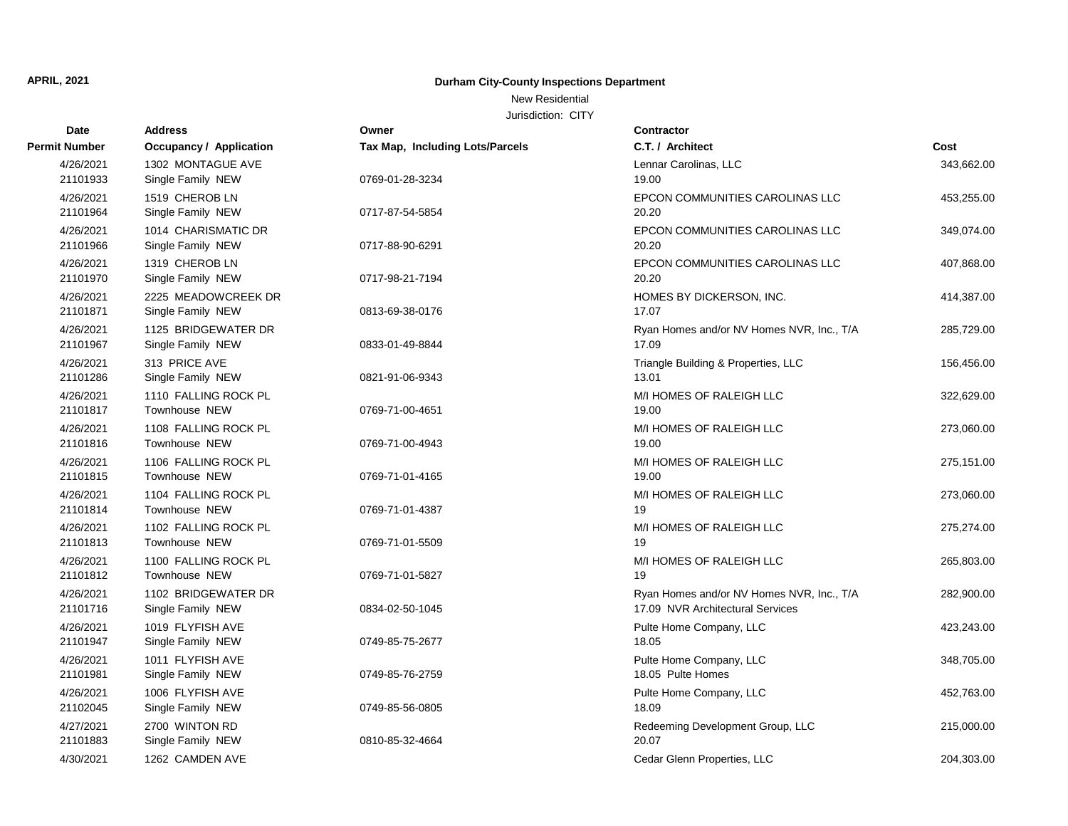New Residential

| Date                  | <b>Address</b>                         | Owner                                  | <b>Contractor</b>                                                             |            |
|-----------------------|----------------------------------------|----------------------------------------|-------------------------------------------------------------------------------|------------|
| <b>Permit Number</b>  | Occupancy / Application                | <b>Tax Map, Including Lots/Parcels</b> | C.T. / Architect                                                              | Cost       |
| 4/26/2021<br>21101933 | 1302 MONTAGUE AVE<br>Single Family NEW | 0769-01-28-3234                        | Lennar Carolinas, LLC<br>19.00                                                | 343,662.00 |
|                       |                                        |                                        |                                                                               |            |
| 4/26/2021<br>21101964 | 1519 CHEROB LN<br>Single Family NEW    | 0717-87-54-5854                        | EPCON COMMUNITIES CAROLINAS LLC<br>20.20                                      | 453,255.00 |
| 4/26/2021             | 1014 CHARISMATIC DR                    |                                        | EPCON COMMUNITIES CAROLINAS LLC                                               |            |
| 21101966              | Single Family NEW                      | 0717-88-90-6291                        | 20.20                                                                         | 349,074.00 |
| 4/26/2021             | 1319 CHEROB LN                         |                                        | EPCON COMMUNITIES CAROLINAS LLC                                               | 407,868.00 |
| 21101970              | Single Family NEW                      | 0717-98-21-7194                        | 20.20                                                                         |            |
| 4/26/2021             | 2225 MEADOWCREEK DR                    |                                        | HOMES BY DICKERSON, INC.                                                      | 414,387.00 |
| 21101871              | Single Family NEW                      | 0813-69-38-0176                        | 17.07                                                                         |            |
| 4/26/2021             | 1125 BRIDGEWATER DR                    |                                        | Ryan Homes and/or NV Homes NVR, Inc., T/A                                     | 285,729.00 |
| 21101967              | Single Family NEW                      | 0833-01-49-8844                        | 17.09                                                                         |            |
| 4/26/2021             | 313 PRICE AVE                          |                                        | Triangle Building & Properties, LLC                                           | 156,456.00 |
| 21101286              | Single Family NEW                      | 0821-91-06-9343                        | 13.01                                                                         |            |
| 4/26/2021             | 1110 FALLING ROCK PL                   |                                        | M/I HOMES OF RALEIGH LLC                                                      | 322,629.00 |
| 21101817              | Townhouse NEW                          | 0769-71-00-4651                        | 19.00                                                                         |            |
| 4/26/2021             | 1108 FALLING ROCK PL                   |                                        | M/I HOMES OF RALEIGH LLC                                                      | 273,060.00 |
| 21101816              | <b>Townhouse NEW</b>                   | 0769-71-00-4943                        | 19.00                                                                         |            |
| 4/26/2021             | 1106 FALLING ROCK PL                   |                                        | M/I HOMES OF RALEIGH LLC                                                      | 275,151.00 |
| 21101815              | Townhouse NEW                          | 0769-71-01-4165                        | 19.00                                                                         |            |
| 4/26/2021             | 1104 FALLING ROCK PL                   |                                        | M/I HOMES OF RALEIGH LLC                                                      | 273,060.00 |
| 21101814              | Townhouse NEW                          | 0769-71-01-4387                        | 19                                                                            |            |
| 4/26/2021             | 1102 FALLING ROCK PL                   |                                        | M/I HOMES OF RALEIGH LLC                                                      | 275,274.00 |
| 21101813              | Townhouse NEW                          | 0769-71-01-5509                        | 19                                                                            |            |
| 4/26/2021             | 1100 FALLING ROCK PL                   |                                        | M/I HOMES OF RALEIGH LLC                                                      | 265,803.00 |
| 21101812              | Townhouse NEW                          | 0769-71-01-5827                        | 19                                                                            |            |
| 4/26/2021<br>21101716 | 1102 BRIDGEWATER DR                    | 0834-02-50-1045                        | Ryan Homes and/or NV Homes NVR, Inc., T/A<br>17.09 NVR Architectural Services | 282,900.00 |
|                       | Single Family NEW                      |                                        |                                                                               |            |
| 4/26/2021<br>21101947 | 1019 FLYFISH AVE<br>Single Family NEW  | 0749-85-75-2677                        | Pulte Home Company, LLC<br>18.05                                              | 423,243.00 |
| 4/26/2021             | 1011 FLYFISH AVE                       |                                        | Pulte Home Company, LLC                                                       | 348,705.00 |
| 21101981              | Single Family NEW                      | 0749-85-76-2759                        | 18.05 Pulte Homes                                                             |            |
| 4/26/2021             | 1006 FLYFISH AVE                       |                                        | Pulte Home Company, LLC                                                       | 452,763.00 |
| 21102045              | Single Family NEW                      | 0749-85-56-0805                        | 18.09                                                                         |            |
| 4/27/2021             | 2700 WINTON RD                         |                                        | Redeeming Development Group, LLC                                              | 215,000.00 |
| 21101883              | Single Family NEW                      | 0810-85-32-4664                        | 20.07                                                                         |            |
| 4/30/2021             | 1262 CAMDEN AVE                        |                                        | Cedar Glenn Properties, LLC                                                   | 204,303.00 |